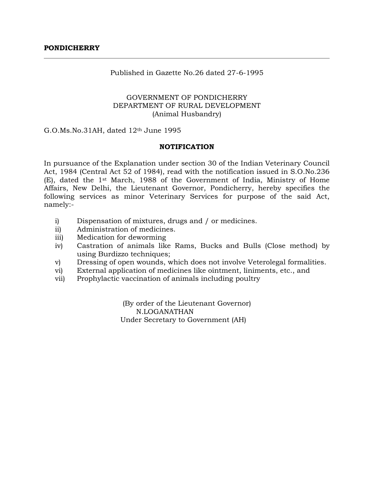### Published in Gazette No.26 dated 27-6-1995

# GOVERNMENT OF PONDICHERRY DEPARTMENT OF RURAL DEVELOPMENT (Animal Husbandry)

G.O.Ms.No.31AH, dated 12th June 1995

### **NOTIFICATION**

In pursuance of the Explanation under section 30 of the Indian Veterinary Council Act, 1984 (Central Act 52 of 1984), read with the notification issued in S.O.No.236 (E), dated the 1st March, 1988 of the Government of India, Ministry of Home Affairs, New Delhi, the Lieutenant Governor, Pondicherry, hereby specifies the following services as minor Veterinary Services for purpose of the said Act, namely:-

- i) Dispensation of mixtures, drugs and / or medicines.
- ii) Administration of medicines.
- iii) Medication for deworming
- iv) Castration of animals like Rams, Bucks and Bulls (Close method) by using Burdizzo techniques;
- v) Dressing of open wounds, which does not involve Veterolegal formalities.
- vi) External application of medicines like ointment, liniments, etc., and
- vii) Prophylactic vaccination of animals including poultry

(By order of the Lieutenant Governor) N.LOGANATHAN Under Secretary to Government (AH)